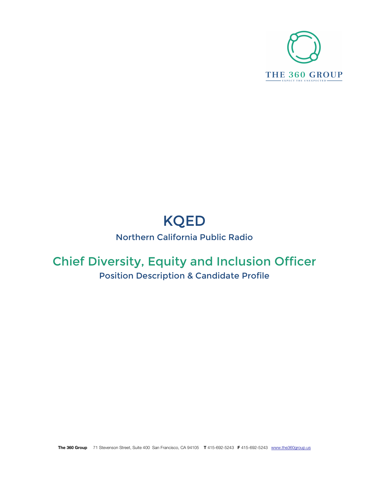

# KQED

# Northern California Public Radio

# Chief Diversity, Equity and Inclusion Officer

# Position Description & Candidate Profile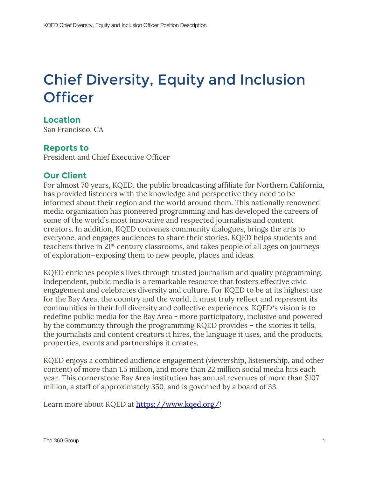# Chief Diversity, Equity and Inclusion **Officer**

# **Location**

San Francisco, CA

# **Reports to**

President and Chief Executive Officer

## **Our Client**

For almost 70 years, KQED, the public broadcasting affiliate for Northern California, has provided listeners with the knowledge and perspective they need to be informed about their region and the world around them. This nationally renowned media organization has pioneered programming and has developed the careers of some of the world's most innovative and respected journalists and content creators. In addition, KQED convenes community dialogues, brings the arts to everyone, and engages audiences to share their stories. KQED helps students and teachers thrive in 21st century classrooms, and takes people of all ages on journeys of exploration—exposing them to new people, places and ideas.

KQED enriches people's lives through trusted journalism and quality programming. Independent, public media is a remarkable resource that fosters effective civic engagement and celebrates diversity and culture. For KQED to be at its highest use for the Bay Area, the country and the world, it must truly reflect and represent its communities in their full diversity and collective experiences. KQED**'**s vision is to redefine public media for the Bay Area - more participatory, inclusive and powered by the community through the programming KQED provides – the stories it tells, the journalists and content creators it hires, the language it uses, and the products, properties, events and partnerships it creates.

KQED enjoys a combined audience engagement (viewership, listenership, and other content) of more than 1.5 million, and more than 22 million social media hits each year. This cornerstone Bay Area institution has annual revenues of more than \$107 million, a staff of approximately 350, and is governed by a board of 33.

Learn more about KQED at https://www.kqed.org/!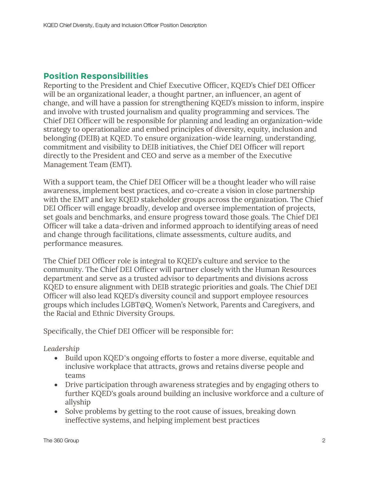# **Position Responsibilities**

Reporting to the President and Chief Executive Officer, KQED's Chief DEI Officer will be an organizational leader, a thought partner, an influencer, an agent of change, and will have a passion for strengthening KQED's mission to inform, inspire and involve with trusted journalism and quality programming and services. The Chief DEI Officer will be responsible for planning and leading an organization-wide strategy to operationalize and embed principles of diversity, equity, inclusion and belonging (DEIB) at KQED. To ensure organization-wide learning, understanding, commitment and visibility to DEIB initiatives, the Chief DEI Officer will report directly to the President and CEO and serve as a member of the Executive Management Team (EMT).

With a support team, the Chief DEI Officer will be a thought leader who will raise awareness, implement best practices, and co-create a vision in close partnership with the EMT and key KQED stakeholder groups across the organization. The Chief DEI Officer will engage broadly, develop and oversee implementation of projects, set goals and benchmarks, and ensure progress toward those goals. The Chief DEI Officer will take a data-driven and informed approach to identifying areas of need and change through facilitations, climate assessments, culture audits, and performance measures.

The Chief DEI Officer role is integral to KQED's culture and service to the community. The Chief DEI Officer will partner closely with the Human Resources department and serve as a trusted advisor to departments and divisions across KQED to ensure alignment with DEIB strategic priorities and goals. The Chief DEI Officer will also lead KQED's diversity council and support employee resources groups which includes LGBT@Q, Women's Network, Parents and Caregivers, and the Racial and Ethnic Diversity Groups.

Specifically, the Chief DEI Officer will be responsible for:

#### *Leadership*

- Build upon KQED's ongoing efforts to foster a more diverse, equitable and inclusive workplace that attracts, grows and retains diverse people and teams
- Drive participation through awareness strategies and by engaging others to further KQED's goals around building an inclusive workforce and a culture of allyship
- Solve problems by getting to the root cause of issues, breaking down ineffective systems, and helping implement best practices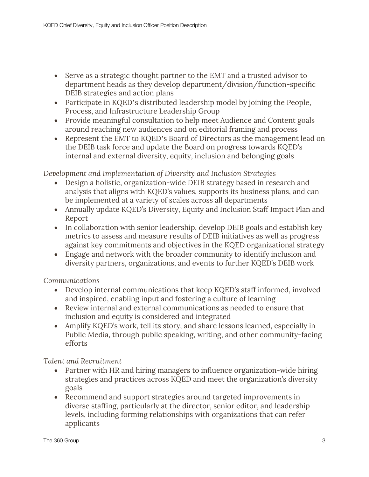- Serve as a strategic thought partner to the EMT and a trusted advisor to department heads as they develop department/division/function-specific DEIB strategies and action plans
- Participate in KQED's distributed leadership model by joining the People, Process, and Infrastructure Leadership Group
- Provide meaningful consultation to help meet Audience and Content goals around reaching new audiences and on editorial framing and process
- Represent the EMT to KQED's Board of Directors as the management lead on the DEIB task force and update the Board on progress towards KQED's internal and external diversity, equity, inclusion and belonging goals

*Development and Implementation of Diversity and Inclusion Strategies*

- Design a holistic, organization-wide DEIB strategy based in research and analysis that aligns with KQED's values, supports its business plans, and can be implemented at a variety of scales across all departments
- Annually update KQED's Diversity, Equity and Inclusion Staff Impact Plan and Report
- In collaboration with senior leadership, develop DEIB goals and establish key metrics to assess and measure results of DEIB initiatives as well as progress against key commitments and objectives in the KQED organizational strategy
- Engage and network with the broader community to identify inclusion and diversity partners, organizations, and events to further KQED's DEIB work

*Communications*

- Develop internal communications that keep KQED's staff informed, involved and inspired, enabling input and fostering a culture of learning
- Review internal and external communications as needed to ensure that inclusion and equity is considered and integrated
- Amplify KQED's work, tell its story, and share lessons learned, especially in Public Media, through public speaking, writing, and other community-facing efforts

*Talent and Recruitment*

- Partner with HR and hiring managers to influence organization-wide hiring strategies and practices across KQED and meet the organization's diversity goals
- Recommend and support strategies around targeted improvements in diverse staffing, particularly at the director, senior editor, and leadership levels, including forming relationships with organizations that can refer applicants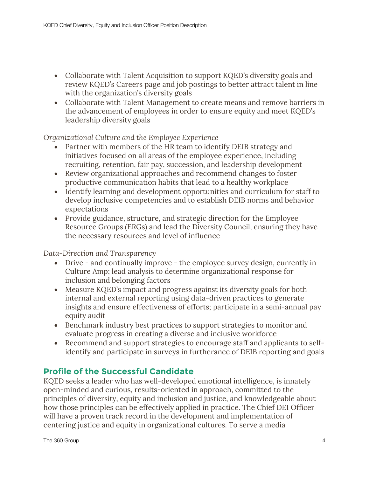- Collaborate with Talent Acquisition to support KQED's diversity goals and review KQED's Careers page and job postings to better attract talent in line with the organization's diversity goals
- Collaborate with Talent Management to create means and remove barriers in the advancement of employees in order to ensure equity and meet KQED's leadership diversity goals

*Organizational Culture and the Employee Experience*

- Partner with members of the HR team to identify DEIB strategy and initiatives focused on all areas of the employee experience, including recruiting, retention, fair pay, succession, and leadership development
- Review organizational approaches and recommend changes to foster productive communication habits that lead to a healthy workplace
- Identify learning and development opportunities and curriculum for staff to develop inclusive competencies and to establish DEIB norms and behavior expectations
- Provide guidance, structure, and strategic direction for the Employee Resource Groups (ERGs) and lead the Diversity Council, ensuring they have the necessary resources and level of influence

*Data-Direction and Transparency*

- Drive and continually improve the employee survey design, currently in Culture Amp; lead analysis to determine organizational response for inclusion and belonging factors
- Measure KQED's impact and progress against its diversity goals for both internal and external reporting using data-driven practices to generate insights and ensure effectiveness of efforts; participate in a semi-annual pay equity audit
- Benchmark industry best practices to support strategies to monitor and evaluate progress in creating a diverse and inclusive workforce
- Recommend and support strategies to encourage staff and applicants to selfidentify and participate in surveys in furtherance of DEIB reporting and goals

# **Profile of the Successful Candidate**

KQED seeks a leader who has well-developed emotional intelligence, is innately open-minded and curious, results-oriented in approach, committed to the principles of diversity, equity and inclusion and justice, and knowledgeable about how those principles can be effectively applied in practice. The Chief DEI Officer will have a proven track record in the development and implementation of centering justice and equity in organizational cultures. To serve a media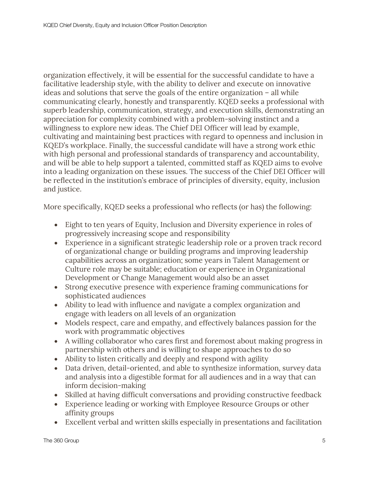organization effectively, it will be essential for the successful candidate to have a facilitative leadership style, with the ability to deliver and execute on innovative ideas and solutions that serve the goals of the entire organization – all while communicating clearly, honestly and transparently. KQED seeks a professional with superb leadership, communication, strategy, and execution skills, demonstrating an appreciation for complexity combined with a problem-solving instinct and a willingness to explore new ideas. The Chief DEI Officer will lead by example, cultivating and maintaining best practices with regard to openness and inclusion in KQED's workplace. Finally, the successful candidate will have a strong work ethic with high personal and professional standards of transparency and accountability, and will be able to help support a talented, committed staff as KQED aims to evolve into a leading organization on these issues. The success of the Chief DEI Officer will be reflected in the institution's embrace of principles of diversity, equity, inclusion and justice.

More specifically, KQED seeks a professional who reflects (or has) the following:

- Eight to ten years of Equity, Inclusion and Diversity experience in roles of progressively increasing scope and responsibility
- Experience in a significant strategic leadership role or a proven track record of organizational change or building programs and improving leadership capabilities across an organization; some years in Talent Management or Culture role may be suitable; education or experience in Organizational Development or Change Management would also be an asset
- Strong executive presence with experience framing communications for sophisticated audiences
- Ability to lead with influence and navigate a complex organization and engage with leaders on all levels of an organization
- Models respect, care and empathy, and effectively balances passion for the work with programmatic objectives
- A willing collaborator who cares first and foremost about making progress in partnership with others and is willing to shape approaches to do so
- Ability to listen critically and deeply and respond with agility
- Data driven, detail-oriented, and able to synthesize information, survey data and analysis into a digestible format for all audiences and in a way that can inform decision-making
- Skilled at having difficult conversations and providing constructive feedback
- Experience leading or working with Employee Resource Groups or other affinity groups
- Excellent verbal and written skills especially in presentations and facilitation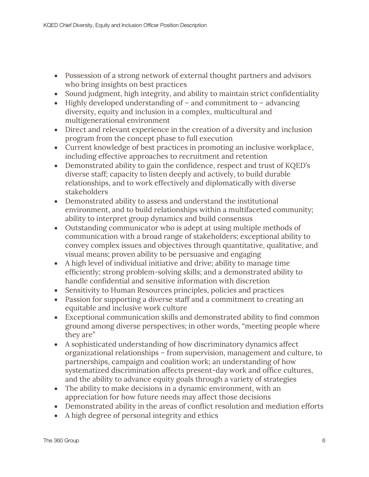- Possession of a strong network of external thought partners and advisors who bring insights on best practices
- Sound judgment, high integrity, and ability to maintain strict confidentiality
- Highly developed understanding of and commitment to advancing diversity, equity and inclusion in a complex, multicultural and multigenerational environment
- Direct and relevant experience in the creation of a diversity and inclusion program from the concept phase to full execution
- Current knowledge of best practices in promoting an inclusive workplace, including effective approaches to recruitment and retention
- Demonstrated ability to gain the confidence, respect and trust of KQED's diverse staff; capacity to listen deeply and actively, to build durable relationships, and to work effectively and diplomatically with diverse stakeholders
- Demonstrated ability to assess and understand the institutional environment, and to build relationships within a multifaceted community; ability to interpret group dynamics and build consensus
- Outstanding communicator who is adept at using multiple methods of communication with a broad range of stakeholders; exceptional ability to convey complex issues and objectives through quantitative, qualitative, and visual means; proven ability to be persuasive and engaging
- A high level of individual initiative and drive; ability to manage time efficiently; strong problem-solving skills; and a demonstrated ability to handle confidential and sensitive information with discretion
- Sensitivity to Human Resources principles, policies and practices
- Passion for supporting a diverse staff and a commitment to creating an equitable and inclusive work culture
- Exceptional communication skills and demonstrated ability to find common ground among diverse perspectives; in other words, "meeting people where they are"
- A sophisticated understanding of how discriminatory dynamics affect organizational relationships – from supervision, management and culture, to partnerships, campaign and coalition work; an understanding of how systematized discrimination affects present-day work and office cultures, and the ability to advance equity goals through a variety of strategies
- The ability to make decisions in a dynamic environment, with an appreciation for how future needs may affect those decisions
- Demonstrated ability in the areas of conflict resolution and mediation efforts
- A high degree of personal integrity and ethics